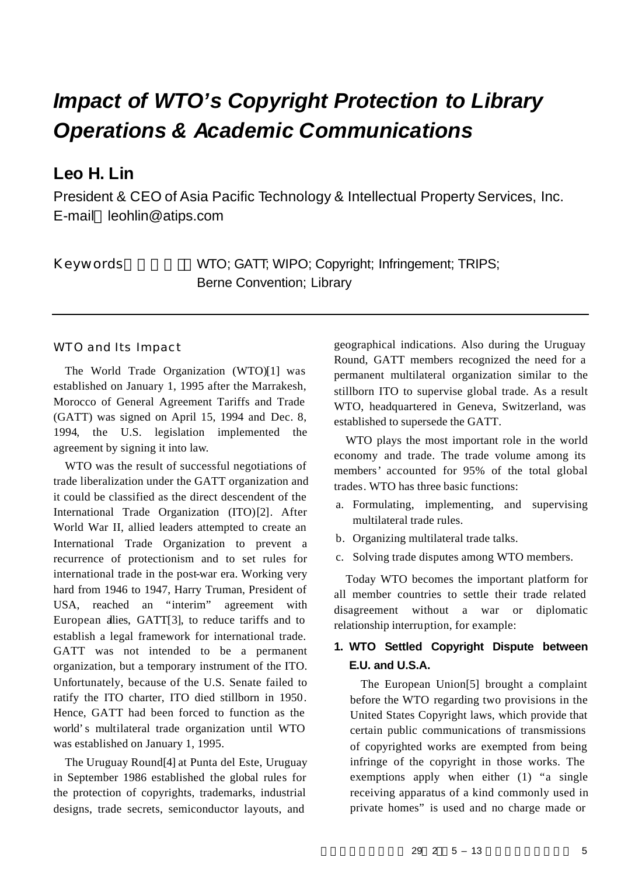# *Impact of WTO's Copyright Protection to Library Operations & Academic Communications*

## **Leo H. Lin**

President & CEO of Asia Pacific Technology & Intellectual Property Services, Inc. E-mail leohlin@atips.com

Keywords WTO; GATT; WIPO; Copyright; Infringement; TRIPS; Berne Convention; Library

#### WTO and Its Impact

The World Trade Organization (WTO)[1] was established on January 1, 1995 after the Marrakesh, Morocco of General Agreement Tariffs and Trade (GATT) was signed on April 15, 1994 and Dec. 8, 1994, the U.S. legislation implemented the agreement by signing it into law.

WTO was the result of successful negotiations of trade liberalization under the GATT organization and it could be classified as the direct descendent of the International Trade Organization (ITO)[2]. After World War II, allied leaders attempted to create an International Trade Organization to prevent a recurrence of protectionism and to set rules for international trade in the post-war era. Working very hard from 1946 to 1947, Harry Truman, President of USA, reached an "interim" agreement with European allies, GATT[3], to reduce tariffs and to establish a legal framework for international trade. GATT was not intended to be a permanent organization, but a temporary instrument of the ITO. Unfortunately, because of the U.S. Senate failed to ratify the ITO charter, ITO died stillborn in 1950. Hence, GATT had been forced to function as the world's multilateral trade organization until WTO was established on January 1, 1995.

The Uruguay Round[4] at Punta del Este, Uruguay in September 1986 established the global rules for the protection of copyrights, trademarks, industrial designs, trade secrets, semiconductor layouts, and

geographical indications. Also during the Uruguay Round, GATT members recognized the need for a permanent multilateral organization similar to the stillborn ITO to supervise global trade. As a result WTO, headquartered in Geneva, Switzerland, was established to supersede the GATT.

WTO plays the most important role in the world economy and trade. The trade volume among its members' accounted for 95% of the total global trades. WTO has three basic functions:

- a. Formulating, implementing, and supervising multilateral trade rules.
- b. Organizing multilateral trade talks.
- c. Solving trade disputes among WTO members.

Today WTO becomes the important platform for all member countries to settle their trade related disagreement without a war or diplomatic relationship interruption, for example:

## **1. WTO Settled Copyright Dispute between E.U. and U.S.A.**

The European Union[5] brought a complaint before the WTO regarding two provisions in the United States Copyright laws, which provide that certain public communications of transmissions of copyrighted works are exempted from being infringe of the copyright in those works. The exemptions apply when either (1) "a single receiving apparatus of a kind commonly used in private homes" is used and no charge made or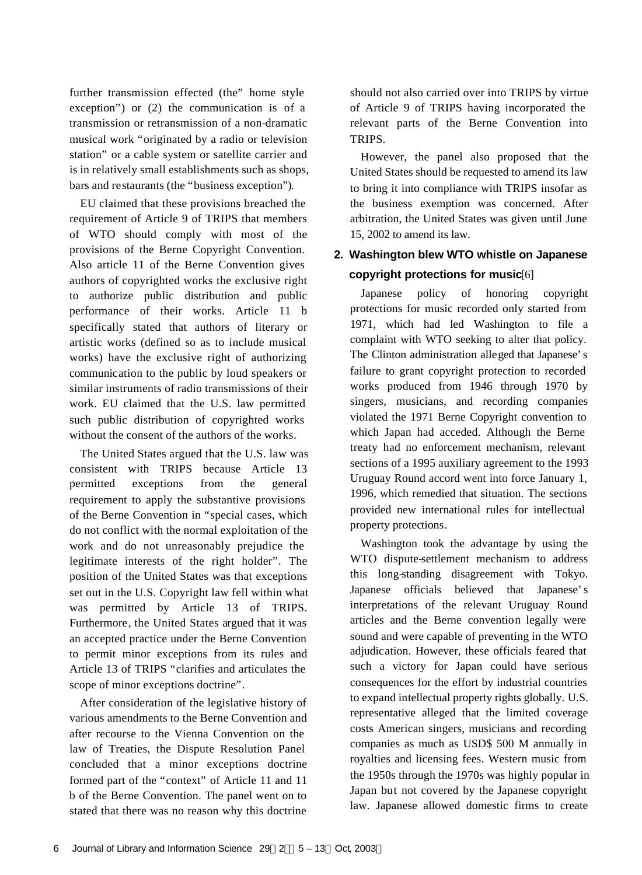further transmission effected (the" home style exception") or (2) the communication is of a transmission or retransmission of a non-dramatic musical work "originated by a radio or television station" or a cable system or satellite carrier and is in relatively small establishments such as shops, bars and restaurants (the "business exception").

EU claimed that these provisions breached the requirement of Article 9 of TRIPS that members of WTO should comply with most of the provisions of the Berne Copyright Convention. Also article 11 of the Berne Convention gives authors of copyrighted works the exclusive right to authorize public distribution and public performance of their works. Article 11 b specifically stated that authors of literary or artistic works (defined so as to include musical works) have the exclusive right of authorizing communication to the public by loud speakers or similar instruments of radio transmissions of their work. EU claimed that the U.S. law permitted such public distribution of copyrighted works without the consent of the authors of the works.

The United States argued that the U.S. law was consistent with TRIPS because Article 13 permitted exceptions from the general requirement to apply the substantive provisions of the Berne Convention in "special cases, which do not conflict with the normal exploitation of the work and do not unreasonably prejudice the legitimate interests of the right holder". The position of the United States was that exceptions set out in the U.S. Copyright law fell within what was permitted by Article 13 of TRIPS. Furthermore, the United States argued that it was an accepted practice under the Berne Convention to permit minor exceptions from its rules and Article 13 of TRIPS "clarifies and articulates the scope of minor exceptions doctrine".

After consideration of the legislative history of various amendments to the Berne Convention and after recourse to the Vienna Convention on the law of Treaties, the Dispute Resolution Panel concluded that a minor exceptions doctrine formed part of the "context" of Article 11 and 11 b of the Berne Convention. The panel went on to stated that there was no reason why this doctrine

should not also carried over into TRIPS by virtue of Article 9 of TRIPS having incorporated the relevant parts of the Berne Convention into TRIPS.

However, the panel also proposed that the United States should be requested to amend its law to bring it into compliance with TRIPS insofar as the business exemption was concerned. After arbitration, the United States was given until June 15, 2002 to amend its law.

## **2. Washington blew WTO whistle on Japanese copyright protections for music**[6]

Japanese policy of honoring copyright protections for music recorded only started from 1971, which had led Washington to file a complaint with WTO seeking to alter that policy. The Clinton administration alleged that Japanese's failure to grant copyright protection to recorded works produced from 1946 through 1970 by singers, musicians, and recording companies violated the 1971 Berne Copyright convention to which Japan had acceded. Although the Berne treaty had no enforcement mechanism, relevant sections of a 1995 auxiliary agreement to the 1993 Uruguay Round accord went into force January 1, 1996, which remedied that situation. The sections provided new international rules for intellectual property protections.

Washington took the advantage by using the WTO dispute-settlement mechanism to address this long-standing disagreement with Tokyo. Japanese officials believed that Japanese's interpretations of the relevant Uruguay Round articles and the Berne convention legally were sound and were capable of preventing in the WTO adjudication. However, these officials feared that such a victory for Japan could have serious consequences for the effort by industrial countries to expand intellectual property rights globally. U.S. representative alleged that the limited coverage costs American singers, musicians and recording companies as much as USD\$ 500 M annually in royalties and licensing fees. Western music from the 1950s through the 1970s was highly popular in Japan but not covered by the Japanese copyright law. Japanese allowed domestic firms to create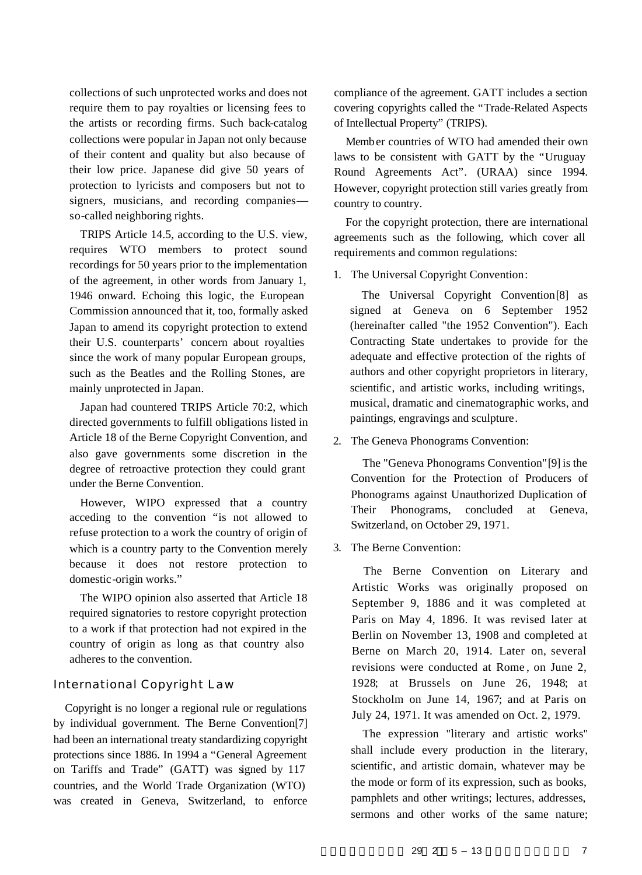collections of such unprotected works and does not require them to pay royalties or licensing fees to the artists or recording firms. Such back-catalog collections were popular in Japan not only because of their content and quality but also because of their low price. Japanese did give 50 years of protection to lyricists and composers but not to signers, musicians, and recording companies so-called neighboring rights.

TRIPS Article 14.5, according to the U.S. view, requires WTO members to protect sound recordings for 50 years prior to the implementation of the agreement, in other words from January 1, 1946 onward. Echoing this logic, the European Commission announced that it, too, formally asked Japan to amend its copyright protection to extend their U.S. counterparts' concern about royalties since the work of many popular European groups, such as the Beatles and the Rolling Stones, are mainly unprotected in Japan.

Japan had countered TRIPS Article 70:2, which directed governments to fulfill obligations listed in Article 18 of the Berne Copyright Convention, and also gave governments some discretion in the degree of retroactive protection they could grant under the Berne Convention.

However, WIPO expressed that a country acceding to the convention "is not allowed to refuse protection to a work the country of origin of which is a country party to the Convention merely because it does not restore protection to domestic-origin works."

The WIPO opinion also asserted that Article 18 required signatories to restore copyright protection to a work if that protection had not expired in the country of origin as long as that country also adheres to the convention.

#### International Copyright Law

Copyright is no longer a regional rule or regulations by individual government. The Berne Convention[7] had been an international treaty standardizing copyright protections since 1886. In 1994 a "General Agreement on Tariffs and Trade" (GATT) was signed by 117 countries, and the World Trade Organization (WTO) was created in Geneva, Switzerland, to enforce

compliance of the agreement. GATT includes a section covering copyrights called the "Trade-Related Aspects of Intellectual Property" (TRIPS).

Member countries of WTO had amended their own laws to be consistent with GATT by the "Uruguay Round Agreements Act". (URAA) since 1994. However, copyright protection still varies greatly from country to country.

For the copyright protection, there are international agreements such as the following, which cover all requirements and common regulations:

1. The Universal Copyright Convention:

The Universal Copyright Convention[8] as signed at Geneva on 6 September 1952 (hereinafter called "the 1952 Convention"). Each Contracting State undertakes to provide for the adequate and effective protection of the rights of authors and other copyright proprietors in literary, scientific, and artistic works, including writings, musical, dramatic and cinematographic works, and paintings, engravings and sculpture.

2. The Geneva Phonograms Convention:

The "Geneva Phonograms Convention"[9] is the Convention for the Protection of Producers of Phonograms against Unauthorized Duplication of Their Phonograms, concluded at Geneva, Switzerland, on October 29, 1971.

3. The Berne Convention:

The Berne Convention on Literary and Artistic Works was originally proposed on September 9, 1886 and it was completed at Paris on May 4, 1896. It was revised later at Berlin on November 13, 1908 and completed at Berne on March 20, 1914. Later on, several revisions were conducted at Rome , on June 2, 1928; at Brussels on June 26, 1948; at Stockholm on June 14, 1967; and at Paris on July 24, 1971. It was amended on Oct. 2, 1979.

The expression "literary and artistic works" shall include every production in the literary, scientific, and artistic domain, whatever may be the mode or form of its expression, such as books, pamphlets and other writings; lectures, addresses, sermons and other works of the same nature;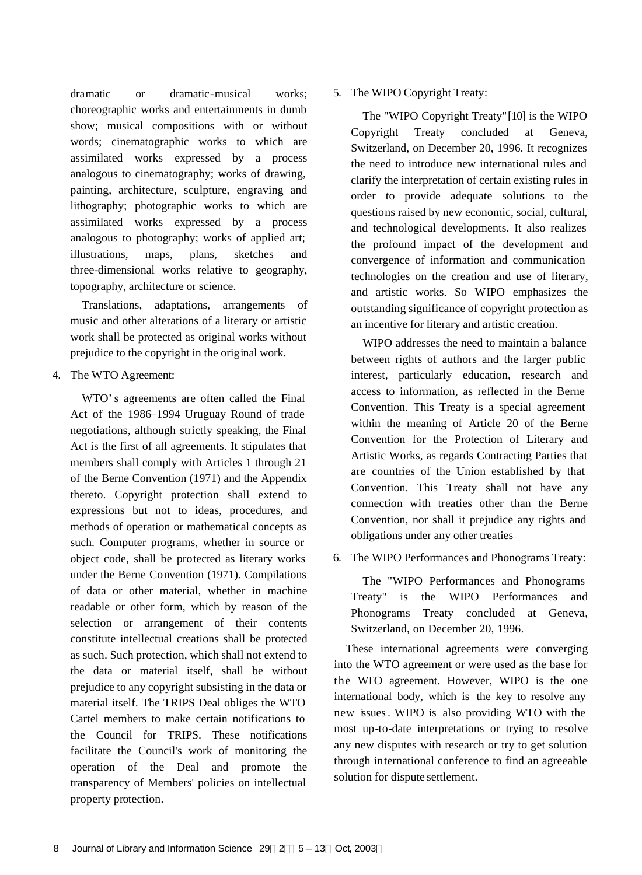dramatic or dramatic-musical works; choreographic works and entertainments in dumb show; musical compositions with or without words; cinematographic works to which are assimilated works expressed by a process analogous to cinematography; works of drawing, painting, architecture, sculpture, engraving and lithography; photographic works to which are assimilated works expressed by a process analogous to photography; works of applied art; illustrations, maps, plans, sketches and three-dimensional works relative to geography, topography, architecture or science.

Translations, adaptations, arrangements of music and other alterations of a literary or artistic work shall be protected as original works without prejudice to the copyright in the original work.

4. The WTO Agreement:

WTO's agreements are often called the Final Act of the 1986–1994 Uruguay Round of trade negotiations, although strictly speaking, the Final Act is the first of all agreements. It stipulates that members shall comply with Articles 1 through 21 of the Berne Convention (1971) and the Appendix thereto. Copyright protection shall extend to expressions but not to ideas, procedures, and methods of operation or mathematical concepts as such. Computer programs, whether in source or object code, shall be protected as literary works under the Berne Convention (1971). Compilations of data or other material, whether in machine readable or other form, which by reason of the selection or arrangement of their contents constitute intellectual creations shall be protected as such. Such protection, which shall not extend to the data or material itself, shall be without prejudice to any copyright subsisting in the data or material itself. The TRIPS Deal obliges the WTO Cartel members to make certain notifications to the Council for TRIPS. These notifications facilitate the Council's work of monitoring the operation of the Deal and promote the transparency of Members' policies on intellectual property protection.

#### 5. The WIPO Copyright Treaty:

The "WIPO Copyright Treaty"[10] is the WIPO Copyright Treaty concluded at Geneva, Switzerland, on December 20, 1996. It recognizes the need to introduce new international rules and clarify the interpretation of certain existing rules in order to provide adequate solutions to the questions raised by new economic, social, cultural, and technological developments. It also realizes the profound impact of the development and convergence of information and communication technologies on the creation and use of literary, and artistic works. So WIPO emphasizes the outstanding significance of copyright protection as an incentive for literary and artistic creation.

WIPO addresses the need to maintain a balance between rights of authors and the larger public interest, particularly education, research and access to information, as reflected in the Berne Convention. This Treaty is a special agreement within the meaning of Article 20 of the Berne Convention for the Protection of Literary and Artistic Works, as regards Contracting Parties that are countries of the Union established by that Convention. This Treaty shall not have any connection with treaties other than the Berne Convention, nor shall it prejudice any rights and obligations under any other treaties

6. The WIPO Performances and Phonograms Treaty:

The "WIPO Performances and Phonograms Treaty" is the WIPO Performances and Phonograms Treaty concluded at Geneva, Switzerland, on December 20, 1996.

These international agreements were converging into the WTO agreement or were used as the base for the WTO agreement. However, WIPO is the one international body, which is the key to resolve any new issues. WIPO is also providing WTO with the most up-to-date interpretations or trying to resolve any new disputes with research or try to get solution through international conference to find an agreeable solution for dispute settlement.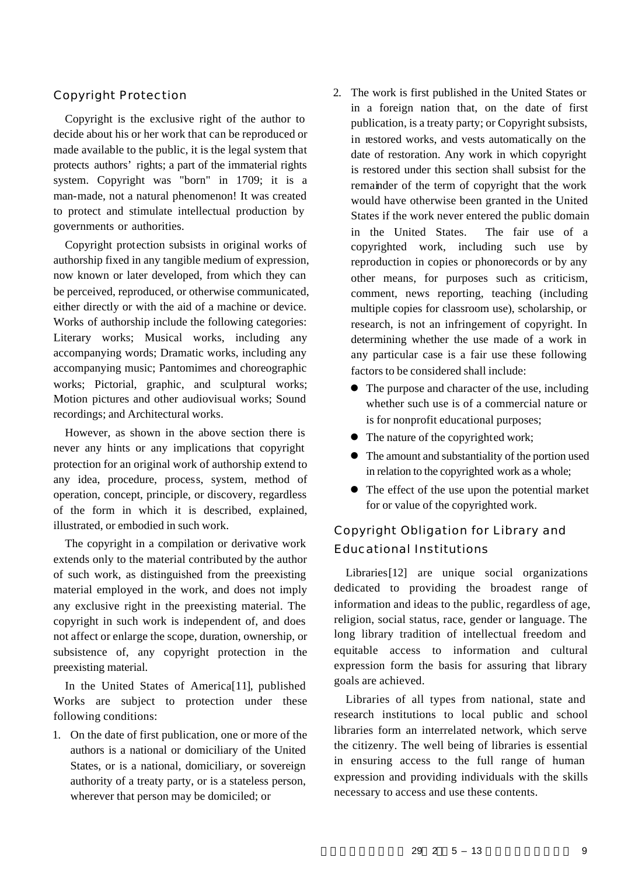#### Copyright Protection

Copyright is the exclusive right of the author to decide about his or her work that can be reproduced or made available to the public, it is the legal system that protects authors' rights; a part of the immaterial rights system. Copyright was "born" in 1709; it is a man-made, not a natural phenomenon! It was created to protect and stimulate intellectual production by governments or authorities.

Copyright protection subsists in original works of authorship fixed in any tangible medium of expression, now known or later developed, from which they can be perceived, reproduced, or otherwise communicated, either directly or with the aid of a machine or device. Works of authorship include the following categories: Literary works; Musical works, including any accompanying words; Dramatic works, including any accompanying music; Pantomimes and choreographic works; Pictorial, graphic, and sculptural works; Motion pictures and other audiovisual works; Sound recordings; and Architectural works.

However, as shown in the above section there is never any hints or any implications that copyright protection for an original work of authorship extend to any idea, procedure, process, system, method of operation, concept, principle, or discovery, regardless of the form in which it is described, explained, illustrated, or embodied in such work.

The copyright in a compilation or derivative work extends only to the material contributed by the author of such work, as distinguished from the preexisting material employed in the work, and does not imply any exclusive right in the preexisting material. The copyright in such work is independent of, and does not affect or enlarge the scope, duration, ownership, or subsistence of, any copyright protection in the preexisting material.

In the United States of America[11], published Works are subject to protection under these following conditions:

1. On the date of first publication, one or more of the authors is a national or domiciliary of the United States, or is a national, domiciliary, or sovereign authority of a treaty party, or is a stateless person, wherever that person may be domiciled; or

- 2. The work is first published in the United States or in a foreign nation that, on the date of first publication, is a treaty party; or Copyright subsists, in restored works, and vests automatically on the date of restoration. Any work in which copyright is restored under this section shall subsist for the remainder of the term of copyright that the work would have otherwise been granted in the United States if the work never entered the public domain in the United States. The fair use of a copyrighted work, including such use by reproduction in copies or phonorecords or by any other means, for purposes such as criticism, comment, news reporting, teaching (including multiple copies for classroom use), scholarship, or research, is not an infringement of copyright. In determining whether the use made of a work in any particular case is a fair use these following factors to be considered shall include:
	- The purpose and character of the use, including whether such use is of a commercial nature or is for nonprofit educational purposes;
	- $\bullet$  The nature of the copyrighted work;
	- The amount and substantiality of the portion used in relation to the copyrighted work as a whole;
	- The effect of the use upon the potential market for or value of the copyrighted work.

## Copyright Obligation for Library and Educational Institutions

Libraries[12] are unique social organizations dedicated to providing the broadest range of information and ideas to the public, regardless of age, religion, social status, race, gender or language. The long library tradition of intellectual freedom and equitable access to information and cultural expression form the basis for assuring that library goals are achieved.

Libraries of all types from national, state and research institutions to local public and school libraries form an interrelated network, which serve the citizenry. The well being of libraries is essential in ensuring access to the full range of human expression and providing individuals with the skills necessary to access and use these contents.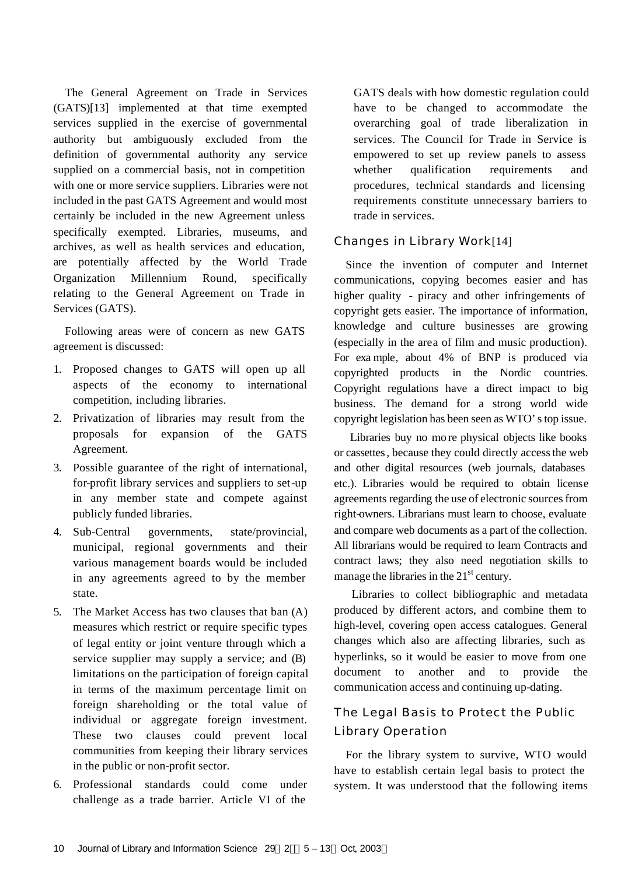The General Agreement on Trade in Services (GATS)[13] implemented at that time exempted services supplied in the exercise of governmental authority but ambiguously excluded from the definition of governmental authority any service supplied on a commercial basis, not in competition with one or more service suppliers. Libraries were not included in the past GATS Agreement and would most certainly be included in the new Agreement unless specifically exempted. Libraries, museums, and archives, as well as health services and education, are potentially affected by the World Trade Organization Millennium Round, specifically relating to the General Agreement on Trade in Services (GATS).

Following areas were of concern as new GATS agreement is discussed:

- 1. Proposed changes to GATS will open up all aspects of the economy to international competition, including libraries.
- 2. Privatization of libraries may result from the proposals for expansion of the GATS Agreement.
- 3. Possible guarantee of the right of international, for-profit library services and suppliers to set-up in any member state and compete against publicly funded libraries.
- 4. Sub-Central governments, state/provincial, municipal, regional governments and their various management boards would be included in any agreements agreed to by the member state.
- 5. The Market Access has two clauses that ban (A) measures which restrict or require specific types of legal entity or joint venture through which a service supplier may supply a service; and (B) limitations on the participation of foreign capital in terms of the maximum percentage limit on foreign shareholding or the total value of individual or aggregate foreign investment. These two clauses could prevent local communities from keeping their library services in the public or non-profit sector.
- 6. Professional standards could come under challenge as a trade barrier. Article VI of the

GATS deals with how domestic regulation could have to be changed to accommodate the overarching goal of trade liberalization in services. The Council for Trade in Service is empowered to set up review panels to assess whether qualification requirements and procedures, technical standards and licensing requirements constitute unnecessary barriers to trade in services.

#### Changes in Library Work[14]

Since the invention of computer and Internet communications, copying becomes easier and has higher quality - piracy and other infringements of copyright gets easier. The importance of information, knowledge and culture businesses are growing (especially in the area of film and music production). For exa mple, about 4% of BNP is produced via copyrighted products in the Nordic countries. Copyright regulations have a direct impact to big business. The demand for a strong world wide copyright legislation has been seen as WTO's top issue.

 Libraries buy no mo re physical objects like books or cassettes, because they could directly access the web and other digital resources (web journals, databases etc.). Libraries would be required to obtain license agreements regarding the use of electronic sources from right-owners. Librarians must learn to choose, evaluate and compare web documents as a part of the collection. All librarians would be required to learn Contracts and contract laws; they also need negotiation skills to manage the libraries in the  $21<sup>st</sup>$  century.

 Libraries to collect bibliographic and metadata produced by different actors, and combine them to high-level, covering open access catalogues. General changes which also are affecting libraries, such as hyperlinks, so it would be easier to move from one document to another and to provide the communication access and continuing up-dating.

## The Legal Basis to Protect the Public Library Operation

For the library system to survive, WTO would have to establish certain legal basis to protect the system. It was understood that the following items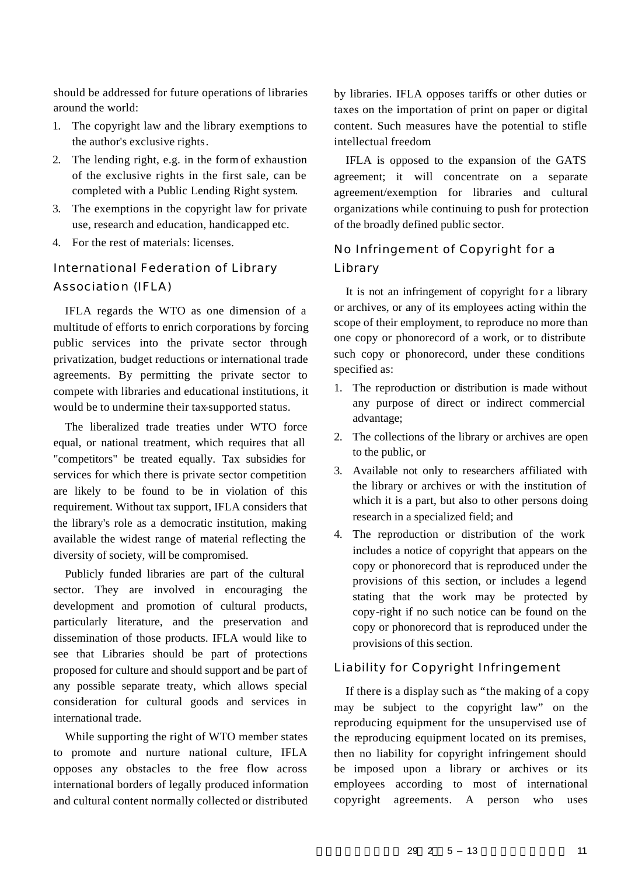should be addressed for future operations of libraries around the world:

- 1. The copyright law and the library exemptions to the author's exclusive rights.
- 2. The lending right, e.g. in the form of exhaustion of the exclusive rights in the first sale, can be completed with a Public Lending Right system.
- 3. The exemptions in the copyright law for private use, research and education, handicapped etc.
- 4. For the rest of materials: licenses.

## International Federation of Library Association (IFLA)

IFLA regards the WTO as one dimension of a multitude of efforts to enrich corporations by forcing public services into the private sector through privatization, budget reductions or international trade agreements. By permitting the private sector to compete with libraries and educational institutions, it would be to undermine their tax-supported status.

The liberalized trade treaties under WTO force equal, or national treatment, which requires that all "competitors" be treated equally. Tax subsidies for services for which there is private sector competition are likely to be found to be in violation of this requirement. Without tax support, IFLA considers that the library's role as a democratic institution, making available the widest range of material reflecting the diversity of society, will be compromised.

Publicly funded libraries are part of the cultural sector. They are involved in encouraging the development and promotion of cultural products, particularly literature, and the preservation and dissemination of those products. IFLA would like to see that Libraries should be part of protections proposed for culture and should support and be part of any possible separate treaty, which allows special consideration for cultural goods and services in international trade.

While supporting the right of WTO member states to promote and nurture national culture, IFLA opposes any obstacles to the free flow across international borders of legally produced information and cultural content normally collected or distributed by libraries. IFLA opposes tariffs or other duties or taxes on the importation of print on paper or digital content. Such measures have the potential to stifle intellectual freedom.

IFLA is opposed to the expansion of the GATS agreement; it will concentrate on a separate agreement/exemption for libraries and cultural organizations while continuing to push for protection of the broadly defined public sector.

## No Infringement of Copyright for a Library

It is not an infringement of copyright for a library or archives, or any of its employees acting within the scope of their employment, to reproduce no more than one copy or phonorecord of a work, or to distribute such copy or phonorecord, under these conditions specified as:

- 1. The reproduction or distribution is made without any purpose of direct or indirect commercial advantage;
- 2. The collections of the library or archives are open to the public, or
- 3. Available not only to researchers affiliated with the library or archives or with the institution of which it is a part, but also to other persons doing research in a specialized field; and
- 4. The reproduction or distribution of the work includes a notice of copyright that appears on the copy or phonorecord that is reproduced under the provisions of this section, or includes a legend stating that the work may be protected by copy-right if no such notice can be found on the copy or phonorecord that is reproduced under the provisions of this section.

### Liability for Copyright Infringement

If there is a display such as "the making of a copy may be subject to the copyright law" on the reproducing equipment for the unsupervised use of the reproducing equipment located on its premises, then no liability for copyright infringement should be imposed upon a library or archives or its employees according to most of international copyright agreements. A person who uses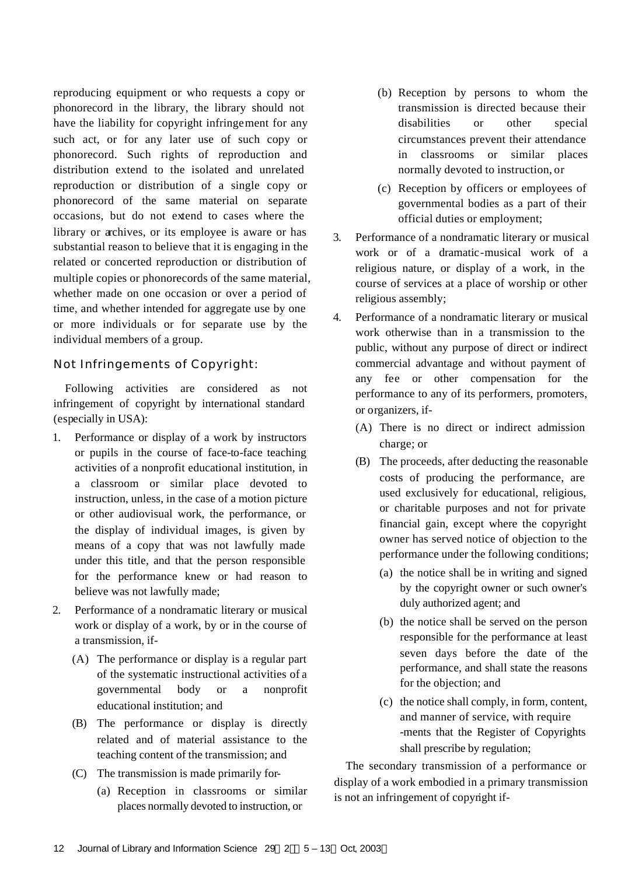reproducing equipment or who requests a copy or phonorecord in the library, the library should not have the liability for copyright infringement for any such act, or for any later use of such copy or phonorecord. Such rights of reproduction and distribution extend to the isolated and unrelated reproduction or distribution of a single copy or phonorecord of the same material on separate occasions, but do not extend to cases where the library or archives, or its employee is aware or has substantial reason to believe that it is engaging in the related or concerted reproduction or distribution of multiple copies or phonorecords of the same material, whether made on one occasion or over a period of time, and whether intended for aggregate use by one or more individuals or for separate use by the individual members of a group.

#### Not Infringements of Copyright:

Following activities are considered as not infringement of copyright by international standard (especially in USA):

- 1. Performance or display of a work by instructors or pupils in the course of face-to-face teaching activities of a nonprofit educational institution, in a classroom or similar place devoted to instruction, unless, in the case of a motion picture or other audiovisual work, the performance, or the display of individual images, is given by means of a copy that was not lawfully made under this title, and that the person responsible for the performance knew or had reason to believe was not lawfully made;
- 2. Performance of a nondramatic literary or musical work or display of a work, by or in the course of a transmission, if-
	- (A) The performance or display is a regular part of the systematic instructional activities of a governmental body or a nonprofit educational institution; and
	- (B) The performance or display is directly related and of material assistance to the teaching content of the transmission; and
	- (C) The transmission is made primarily for-
		- (a) Reception in classrooms or similar places normally devoted to instruction, or
- (b) Reception by persons to whom the transmission is directed because their disabilities or other special circumstances prevent their attendance in classrooms or similar places normally devoted to instruction, or
- (c) Reception by officers or employees of governmental bodies as a part of their official duties or employment;
- 3. Performance of a nondramatic literary or musical work or of a dramatic-musical work of a religious nature, or display of a work, in the course of services at a place of worship or other religious assembly;
- 4. Performance of a nondramatic literary or musical work otherwise than in a transmission to the public, without any purpose of direct or indirect commercial advantage and without payment of any fee or other compensation for the performance to any of its performers, promoters, or organizers, if-
	- (A) There is no direct or indirect admission charge; or
	- (B) The proceeds, after deducting the reasonable costs of producing the performance, are used exclusively for educational, religious, or charitable purposes and not for private financial gain, except where the copyright owner has served notice of objection to the performance under the following conditions;
		- (a) the notice shall be in writing and signed by the copyright owner or such owner's duly authorized agent; and
		- (b) the notice shall be served on the person responsible for the performance at least seven days before the date of the performance, and shall state the reasons for the objection; and
		- (c) the notice shall comply, in form, content, and manner of service, with require -ments that the Register of Copyrights shall prescribe by regulation;

The secondary transmission of a performance or display of a work embodied in a primary transmission is not an infringement of copyright if-